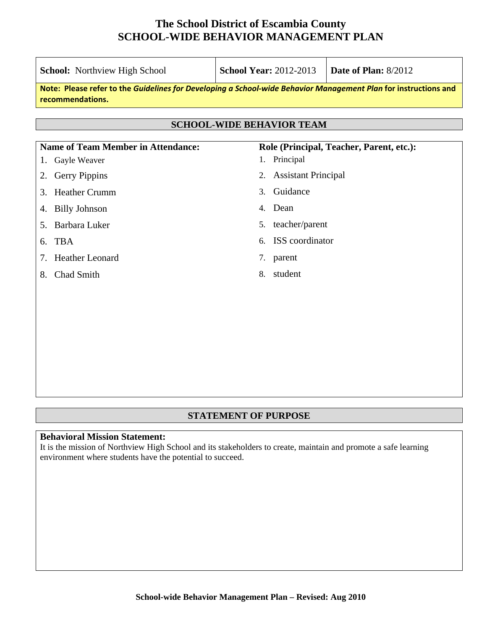|                                                                                                                                     | <b>School:</b> Northview High School                                                  | <b>School Year: 2012-2013</b> |                            | Date of Plan: 8/2012 |  |
|-------------------------------------------------------------------------------------------------------------------------------------|---------------------------------------------------------------------------------------|-------------------------------|----------------------------|----------------------|--|
| Note: Please refer to the Guidelines for Developing a School-wide Behavior Management Plan for instructions and<br>recommendations. |                                                                                       |                               |                            |                      |  |
| <b>SCHOOL-WIDE BEHAVIOR TEAM</b>                                                                                                    |                                                                                       |                               |                            |                      |  |
|                                                                                                                                     | <b>Name of Team Member in Attendance:</b><br>Role (Principal, Teacher, Parent, etc.): |                               |                            |                      |  |
| 1.                                                                                                                                  | Gayle Weaver                                                                          | 1.                            | Principal                  |                      |  |
| 2.                                                                                                                                  | <b>Gerry Pippins</b>                                                                  | 2.                            | <b>Assistant Principal</b> |                      |  |
| 3.                                                                                                                                  | <b>Heather Crumm</b>                                                                  | 3.                            | Guidance                   |                      |  |
| 4.                                                                                                                                  | <b>Billy Johnson</b>                                                                  | 4.                            | Dean                       |                      |  |
|                                                                                                                                     | 5. Barbara Luker                                                                      | 5.                            | teacher/parent             |                      |  |
| 6. TBA                                                                                                                              |                                                                                       | 6.                            | ISS coordinator            |                      |  |
| 7.                                                                                                                                  | <b>Heather Leonard</b>                                                                |                               | 7. parent                  |                      |  |
| 8.                                                                                                                                  | Chad Smith                                                                            | 8.                            | student                    |                      |  |
|                                                                                                                                     |                                                                                       |                               |                            |                      |  |
|                                                                                                                                     |                                                                                       |                               |                            |                      |  |
|                                                                                                                                     |                                                                                       |                               |                            |                      |  |
|                                                                                                                                     |                                                                                       |                               |                            |                      |  |
|                                                                                                                                     |                                                                                       |                               |                            |                      |  |

### **STATEMENT OF PURPOSE**

#### **Behavioral Mission Statement:**

It is the mission of Northview High School and its stakeholders to create, maintain and promote a safe learning environment where students have the potential to succeed.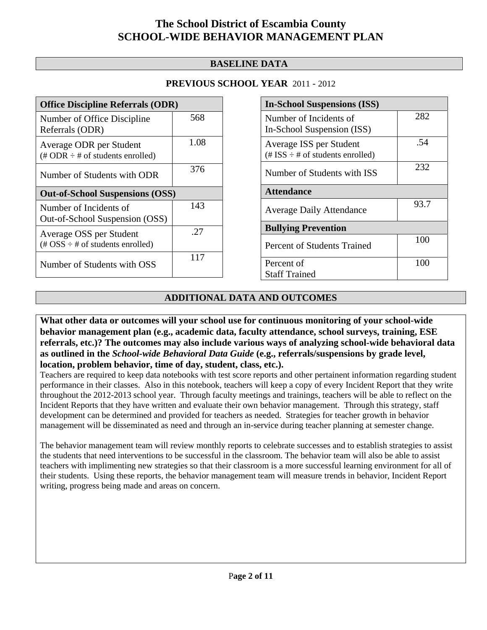### **BASELINE DATA**

### **PREVIOUS SCHOOL YEAR** 2011 - 2012

| <b>Office Discipline Referrals (ODR)</b>                                                        |      |  |  |  |
|-------------------------------------------------------------------------------------------------|------|--|--|--|
| Number of Office Discipline<br>Referrals (ODR)                                                  | 568  |  |  |  |
| Average ODR per Student<br>$(\# ODR \div \# \text{ of students enrolled})$                      | 1.08 |  |  |  |
| Number of Students with ODR                                                                     | 376  |  |  |  |
| <b>Out-of-School Suspensions (OSS)</b>                                                          |      |  |  |  |
|                                                                                                 |      |  |  |  |
| Number of Incidents of<br>Out-of-School Suspension (OSS)                                        | 143  |  |  |  |
| Average OSS per Student<br>$(\text{\#} \text{OSS} \div \text{\#} \text{ of students enrolled})$ | -27  |  |  |  |

| <b>In-School Suspensions (ISS)</b>                                 |      |  |  |  |
|--------------------------------------------------------------------|------|--|--|--|
| Number of Incidents of                                             | 282  |  |  |  |
| In-School Suspension (ISS)                                         |      |  |  |  |
| Average ISS per Student<br>$(\# ISS \div \# of students enrolled)$ | .54  |  |  |  |
| Number of Students with ISS                                        | 232  |  |  |  |
| <b>Attendance</b>                                                  |      |  |  |  |
| <b>Average Daily Attendance</b>                                    | 93.7 |  |  |  |
| <b>Bullying Prevention</b>                                         |      |  |  |  |
| <b>Percent of Students Trained</b>                                 | 100  |  |  |  |
| Percent of                                                         | 100  |  |  |  |
| <b>Staff Trained</b>                                               |      |  |  |  |

### **ADDITIONAL DATA AND OUTCOMES**

**What other data or outcomes will your school use for continuous monitoring of your school-wide behavior management plan (e.g., academic data, faculty attendance, school surveys, training, ESE referrals, etc.)? The outcomes may also include various ways of analyzing school-wide behavioral data as outlined in the** *School-wide Behavioral Data Guide* **(e.g., referrals/suspensions by grade level, location, problem behavior, time of day, student, class, etc.).**

Teachers are required to keep data notebooks with test score reports and other pertainent information regarding student performance in their classes. Also in this notebook, teachers will keep a copy of every Incident Report that they write throughout the 2012-2013 school year. Through faculty meetings and trainings, teachers will be able to reflect on the Incident Reports that they have written and evaluate their own behavior management. Through this strategy, staff development can be determined and provided for teachers as needed. Strategies for teacher growth in behavior management will be disseminated as need and through an in-service during teacher planning at semester change.

The behavior management team will review monthly reports to celebrate successes and to establish strategies to assist the students that need interventions to be successful in the classroom. The behavior team will also be able to assist teachers with implimenting new strategies so that their classroom is a more successful learning environment for all of their students. Using these reports, the behavior management team will measure trends in behavior, Incident Report writing, progress being made and areas on concern.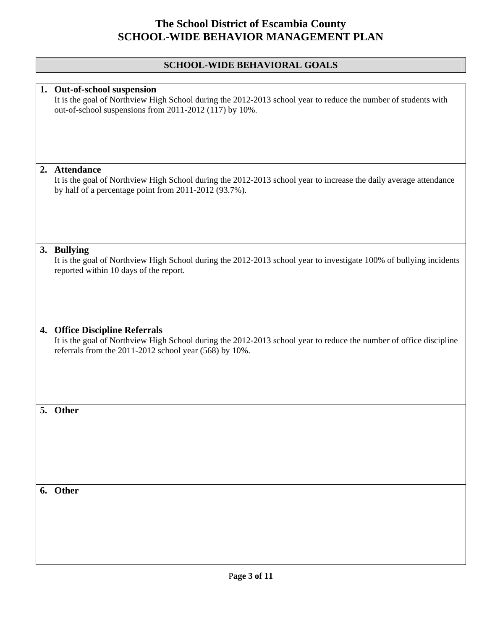### **SCHOOL-WIDE BEHAVIORAL GOALS**

|    | 1. Out-of-school suspension<br>It is the goal of Northview High School during the 2012-2013 school year to reduce the number of students with<br>out-of-school suspensions from 2011-2012 (117) by 10%.        |
|----|----------------------------------------------------------------------------------------------------------------------------------------------------------------------------------------------------------------|
| 2. | <b>Attendance</b>                                                                                                                                                                                              |
|    | It is the goal of Northview High School during the 2012-2013 school year to increase the daily average attendance<br>by half of a percentage point from 2011-2012 (93.7%).                                     |
|    |                                                                                                                                                                                                                |
|    |                                                                                                                                                                                                                |
|    | 3. Bullying<br>It is the goal of Northview High School during the 2012-2013 school year to investigate 100% of bullying incidents<br>reported within 10 days of the report.                                    |
|    |                                                                                                                                                                                                                |
|    | 4. Office Discipline Referrals<br>It is the goal of Northview High School during the 2012-2013 school year to reduce the number of office discipline<br>referrals from the 2011-2012 school year (568) by 10%. |
|    | 5. Other                                                                                                                                                                                                       |
|    |                                                                                                                                                                                                                |
|    | 6. Other                                                                                                                                                                                                       |
|    |                                                                                                                                                                                                                |
|    |                                                                                                                                                                                                                |
|    |                                                                                                                                                                                                                |
|    |                                                                                                                                                                                                                |
|    |                                                                                                                                                                                                                |
|    |                                                                                                                                                                                                                |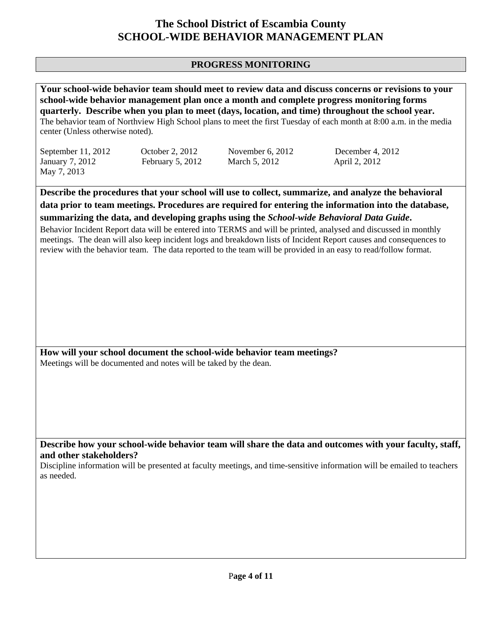### **PROGRESS MONITORING**

| Your school-wide behavior team should meet to review data and discuss concerns or revisions to your<br>school-wide behavior management plan once a month and complete progress monitoring forms<br>quarterly. Describe when you plan to meet (days, location, and time) throughout the school year.<br>The behavior team of Northview High School plans to meet the first Tuesday of each month at 8:00 a.m. in the media<br>center (Unless otherwise noted). |                                     |                                                                                                                                                                                                             |                                                                                                                                                                                                                                                                                                                                                                                                                                                     |  |
|---------------------------------------------------------------------------------------------------------------------------------------------------------------------------------------------------------------------------------------------------------------------------------------------------------------------------------------------------------------------------------------------------------------------------------------------------------------|-------------------------------------|-------------------------------------------------------------------------------------------------------------------------------------------------------------------------------------------------------------|-----------------------------------------------------------------------------------------------------------------------------------------------------------------------------------------------------------------------------------------------------------------------------------------------------------------------------------------------------------------------------------------------------------------------------------------------------|--|
| September 11, 2012<br>January 7, 2012<br>May 7, 2013                                                                                                                                                                                                                                                                                                                                                                                                          | October 2, 2012<br>February 5, 2012 | November 6, 2012<br>March 5, 2012                                                                                                                                                                           | December 4, 2012<br>April 2, 2012                                                                                                                                                                                                                                                                                                                                                                                                                   |  |
|                                                                                                                                                                                                                                                                                                                                                                                                                                                               |                                     |                                                                                                                                                                                                             |                                                                                                                                                                                                                                                                                                                                                                                                                                                     |  |
|                                                                                                                                                                                                                                                                                                                                                                                                                                                               |                                     | summarizing the data, and developing graphs using the School-wide Behavioral Data Guide.<br>review with the behavior team. The data reported to the team will be provided in an easy to read/follow format. | Describe the procedures that your school will use to collect, summarize, and analyze the behavioral<br>data prior to team meetings. Procedures are required for entering the information into the database,<br>Behavior Incident Report data will be entered into TERMS and will be printed, analysed and discussed in monthly<br>meetings. The dean will also keep incident logs and breakdown lists of Incident Report causes and consequences to |  |
| How will your school document the school-wide behavior team meetings?<br>Meetings will be documented and notes will be taked by the dean.                                                                                                                                                                                                                                                                                                                     |                                     |                                                                                                                                                                                                             |                                                                                                                                                                                                                                                                                                                                                                                                                                                     |  |
| and other stakeholders?<br>as needed.                                                                                                                                                                                                                                                                                                                                                                                                                         |                                     |                                                                                                                                                                                                             | Describe how your school-wide behavior team will share the data and outcomes with your faculty, staff,<br>Discipline information will be presented at faculty meetings, and time-sensitive information will be emailed to teachers                                                                                                                                                                                                                  |  |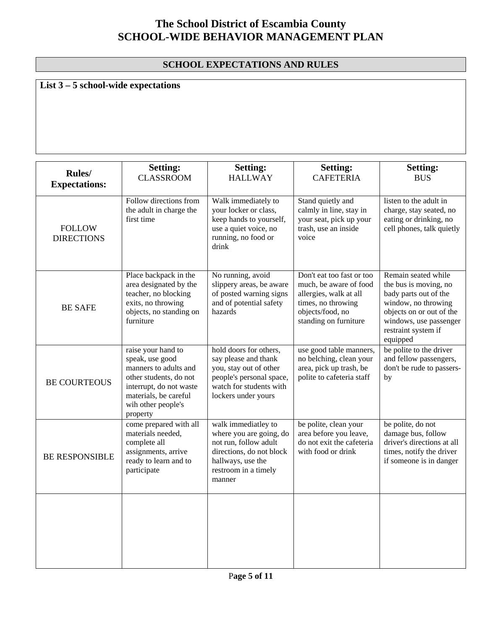### **SCHOOL EXPECTATIONS AND RULES**

# **List 3 – 5 school-wide expectations**

| Rules/<br><b>Expectations:</b>     | <b>Setting:</b><br><b>CLASSROOM</b>                                                                                                                                            | <b>Setting:</b><br><b>HALLWAY</b>                                                                                                                          | <b>Setting:</b><br><b>CAFETERIA</b>                                                                                                              | <b>Setting:</b><br><b>BUS</b>                                                                                                                                                         |
|------------------------------------|--------------------------------------------------------------------------------------------------------------------------------------------------------------------------------|------------------------------------------------------------------------------------------------------------------------------------------------------------|--------------------------------------------------------------------------------------------------------------------------------------------------|---------------------------------------------------------------------------------------------------------------------------------------------------------------------------------------|
| <b>FOLLOW</b><br><b>DIRECTIONS</b> | Follow directions from<br>the adult in charge the<br>first time                                                                                                                | Walk immediately to<br>your locker or class,<br>keep hands to yourself,<br>use a quiet voice, no<br>running, no food or<br>drink                           | Stand quietly and<br>calmly in line, stay in<br>your seat, pick up your<br>trash, use an inside<br>voice                                         | listen to the adult in<br>charge, stay seated, no<br>eating or drinking, no<br>cell phones, talk quietly                                                                              |
| <b>BE SAFE</b>                     | Place backpack in the<br>area designated by the<br>teacher, no blocking<br>exits, no throwing<br>objects, no standing on<br>furniture                                          | No running, avoid<br>slippery areas, be aware<br>of posted warning signs<br>and of potential safety<br>hazards                                             | Don't eat too fast or too<br>much, be aware of food<br>allergies, walk at all<br>times, no throwing<br>objects/food, no<br>standing on furniture | Remain seated while<br>the bus is moving, no<br>bady parts out of the<br>window, no throwing<br>objects on or out of the<br>windows, use passenger<br>restraint system if<br>equipped |
| <b>BE COURTEOUS</b>                | raise your hand to<br>speak, use good<br>manners to adults and<br>other students, do not<br>interrupt, do not waste<br>materials, be careful<br>wih other people's<br>property | hold doors for others,<br>say please and thank<br>you, stay out of other<br>people's personal space,<br>watch for students with<br>lockers under yours     | use good table manners,<br>no belching, clean your<br>area, pick up trash, be<br>polite to cafeteria staff                                       | be polite to the driver<br>and fellow passengers,<br>don't be rude to passers-<br>by                                                                                                  |
| <b>BE RESPONSIBLE</b>              | come prepared with all<br>materials needed,<br>complete all<br>assignments, arrive<br>ready to learn and to<br>participate                                                     | walk immediatley to<br>where you are going, do<br>not run, follow adult<br>directions, do not block<br>hallways, use the<br>restroom in a timely<br>manner | be polite, clean your<br>area before you leave,<br>do not exit the cafeteria<br>with food or drink                                               | be polite, do not<br>damage bus, follow<br>driver's directions at all<br>times, notify the driver<br>if someone is in danger                                                          |
|                                    |                                                                                                                                                                                |                                                                                                                                                            |                                                                                                                                                  |                                                                                                                                                                                       |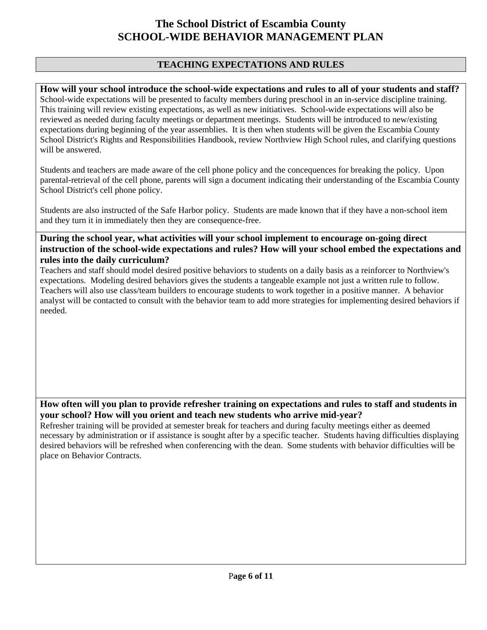### **TEACHING EXPECTATIONS AND RULES**

**How will your school introduce the school-wide expectations and rules to all of your students and staff?**  School-wide expectations will be presented to faculty members during preschool in an in-service discipline training. This training will review existing expectations, as well as new initiatives. School-wide expectations will also be reviewed as needed during faculty meetings or department meetings. Students will be introduced to new/existing expectations during beginning of the year assemblies. It is then when students will be given the Escambia County School District's Rights and Responsibilities Handbook, review Northview High School rules, and clarifying questions will be answered.

Students and teachers are made aware of the cell phone policy and the concequences for breaking the policy. Upon parental-retrieval of the cell phone, parents will sign a document indicating their understanding of the Escambia County School District's cell phone policy.

Students are also instructed of the Safe Harbor policy. Students are made known that if they have a non-school item and they turn it in immediately then they are consequence-free.

**During the school year, what activities will your school implement to encourage on-going direct instruction of the school-wide expectations and rules? How will your school embed the expectations and rules into the daily curriculum?** 

Teachers and staff should model desired positive behaviors to students on a daily basis as a reinforcer to Northview's expectations. Modeling desired behaviors gives the students a tangeable example not just a written rule to follow. Teachers will also use class/team builders to encourage students to work together in a positive manner. A behavior analyst will be contacted to consult with the behavior team to add more strategies for implementing desired behaviors if needed.

### **How often will you plan to provide refresher training on expectations and rules to staff and students in your school? How will you orient and teach new students who arrive mid-year?**

Refresher training will be provided at semester break for teachers and during faculty meetings either as deemed necessary by administration or if assistance is sought after by a specific teacher. Students having difficulties displaying desired behaviors will be refreshed when conferencing with the dean. Some students with behavior difficulties will be place on Behavior Contracts.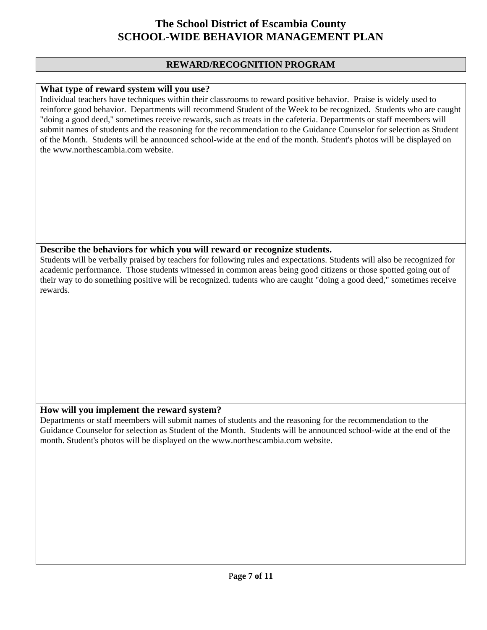#### **REWARD/RECOGNITION PROGRAM**

#### **What type of reward system will you use?**

Individual teachers have techniques within their classrooms to reward positive behavior. Praise is widely used to reinforce good behavior. Departments will recommend Student of the Week to be recognized. Students who are caught "doing a good deed," sometimes receive rewards, such as treats in the cafeteria. Departments or staff meembers will submit names of students and the reasoning for the recommendation to the Guidance Counselor for selection as Student of the Month. Students will be announced school-wide at the end of the month. Student's photos will be displayed on the www.northescambia.com website.

#### **Describe the behaviors for which you will reward or recognize students.**

Students will be verbally praised by teachers for following rules and expectations. Students will also be recognized for academic performance. Those students witnessed in common areas being good citizens or those spotted going out of their way to do something positive will be recognized. tudents who are caught "doing a good deed," sometimes receive rewards.

### **How will you implement the reward system?**

Departments or staff meembers will submit names of students and the reasoning for the recommendation to the Guidance Counselor for selection as Student of the Month. Students will be announced school-wide at the end of the month. Student's photos will be displayed on the www.northescambia.com website.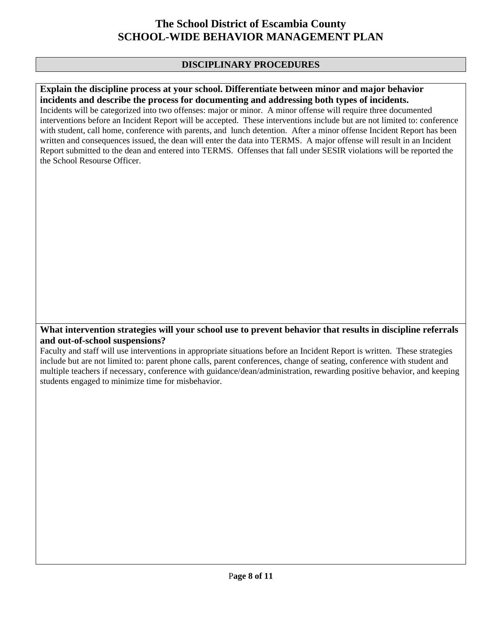### **DISCIPLINARY PROCEDURES**

#### **Explain the discipline process at your school. Differentiate between minor and major behavior incidents and describe the process for documenting and addressing both types of incidents.**

Incidents will be categorized into two offenses: major or minor. A minor offense will require three documented interventions before an Incident Report will be accepted. These interventions include but are not limited to: conference with student, call home, conference with parents, and lunch detention. After a minor offense Incident Report has been written and consequences issued, the dean will enter the data into TERMS. A major offense will result in an Incident Report submitted to the dean and entered into TERMS. Offenses that fall under SESIR violations will be reported the the School Resourse Officer.

#### **What intervention strategies will your school use to prevent behavior that results in discipline referrals and out-of-school suspensions?**

Faculty and staff will use interventions in appropriate situations before an Incident Report is written. These strategies include but are not limited to: parent phone calls, parent conferences, change of seating, conference with student and multiple teachers if necessary, conference with guidance/dean/administration, rewarding positive behavior, and keeping students engaged to minimize time for misbehavior.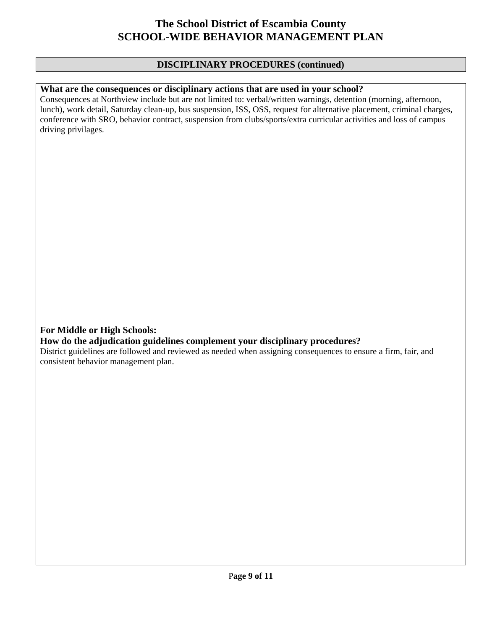#### **DISCIPLINARY PROCEDURES (continued)**

#### **What are the consequences or disciplinary actions that are used in your school?**

Consequences at Northview include but are not limited to: verbal/written warnings, detention (morning, afternoon, lunch), work detail, Saturday clean-up, bus suspension, ISS, OSS, request for alternative placement, criminal charges, conference with SRO, behavior contract, suspension from clubs/sports/extra curricular activities and loss of campus driving privilages.

### **For Middle or High Schools:**

#### **How do the adjudication guidelines complement your disciplinary procedures?**

District guidelines are followed and reviewed as needed when assigning consequences to ensure a firm, fair, and consistent behavior management plan.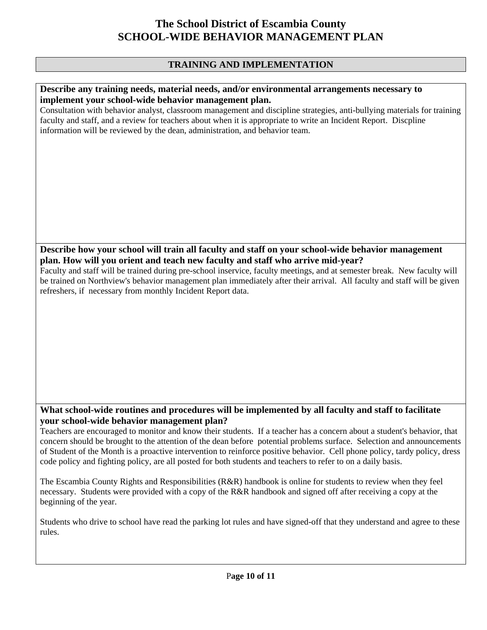### **TRAINING AND IMPLEMENTATION**

#### **Describe any training needs, material needs, and/or environmental arrangements necessary to implement your school-wide behavior management plan.**

Consultation with behavior analyst, classroom management and discipline strategies, anti-bullying materials for training faculty and staff, and a review for teachers about when it is appropriate to write an Incident Report. Discpline information will be reviewed by the dean, administration, and behavior team.

### **Describe how your school will train all faculty and staff on your school-wide behavior management plan. How will you orient and teach new faculty and staff who arrive mid-year?**

Faculty and staff will be trained during pre-school inservice, faculty meetings, and at semester break. New faculty will be trained on Northview's behavior management plan immediately after their arrival. All faculty and staff will be given refreshers, if necessary from monthly Incident Report data.

### **What school-wide routines and procedures will be implemented by all faculty and staff to facilitate your school-wide behavior management plan?**

Teachers are encouraged to monitor and know their students. If a teacher has a concern about a student's behavior, that concern should be brought to the attention of the dean before potential problems surface. Selection and announcements of Student of the Month is a proactive intervention to reinforce positive behavior. Cell phone policy, tardy policy, dress code policy and fighting policy, are all posted for both students and teachers to refer to on a daily basis.

The Escambia County Rights and Responsibilities (R&R) handbook is online for students to review when they feel necessary. Students were provided with a copy of the R&R handbook and signed off after receiving a copy at the beginning of the year.

Students who drive to school have read the parking lot rules and have signed-off that they understand and agree to these rules.